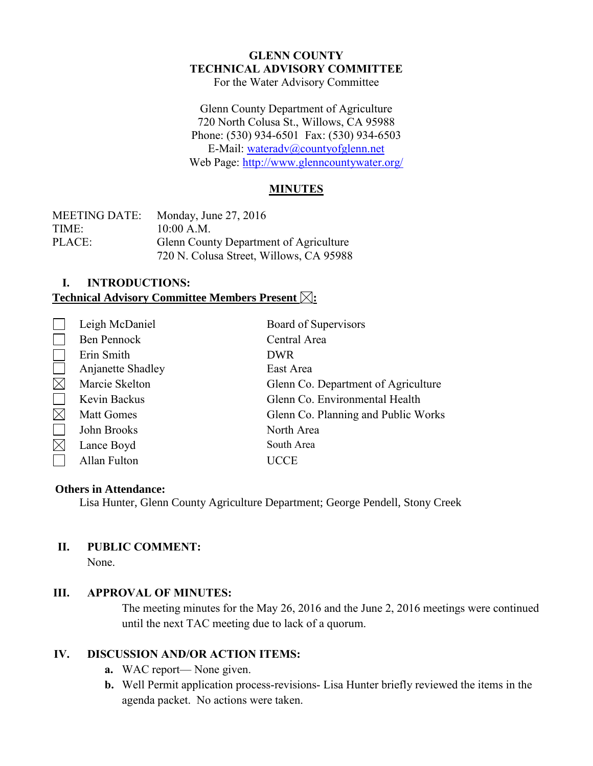#### **GLENN COUNTY TECHNICAL ADVISORY COMMITTEE** For the Water Advisory Committee

Glenn County Department of Agriculture 720 North Colusa St., Willows, CA 95988 Phone: (530) 934-6501 Fax: (530) 934-6503 E-Mail: [wateradv@countyofglenn.net](mailto:wateradv@countyofglenn.net) Web Page:<http://www.glenncountywater.org/>

### **MINUTES**

| <b>MEETING DATE:</b> | Monday, June $27, 2016$                 |
|----------------------|-----------------------------------------|
| TIME:                | 10:00 A.M.                              |
| PLACE:               | Glenn County Department of Agriculture  |
|                      | 720 N. Colusa Street, Willows, CA 95988 |

# **I. INTRODUCTIONS:**

## **Technical Advisory Committee Members Present**  $\boxtimes$ **:**

| Leigh McDaniel    | Board of Supervisors                |
|-------------------|-------------------------------------|
| Ben Pennock       | Central Area                        |
| Erin Smith        | <b>DWR</b>                          |
| Anjanette Shadley | East Area                           |
| Marcie Skelton    | Glenn Co. Department of Agriculture |
| Kevin Backus      | Glenn Co. Environmental Health      |
| <b>Matt Gomes</b> | Glenn Co. Planning and Public Works |
| John Brooks       | North Area                          |
| Lance Boyd        | South Area                          |
| Allan Fulton      | <b>CCE</b>                          |

#### **Others in Attendance:**

Lisa Hunter, Glenn County Agriculture Department; George Pendell, Stony Creek

#### **II. PUBLIC COMMENT:**

None.

#### **III. APPROVAL OF MINUTES:**

The meeting minutes for the May 26, 2016 and the June 2, 2016 meetings were continued until the next TAC meeting due to lack of a quorum.

## **IV. DISCUSSION AND/OR ACTION ITEMS:**

- **a.** WAC report— None given.
- **b.** Well Permit application process-revisions- Lisa Hunter briefly reviewed the items in the agenda packet. No actions were taken.